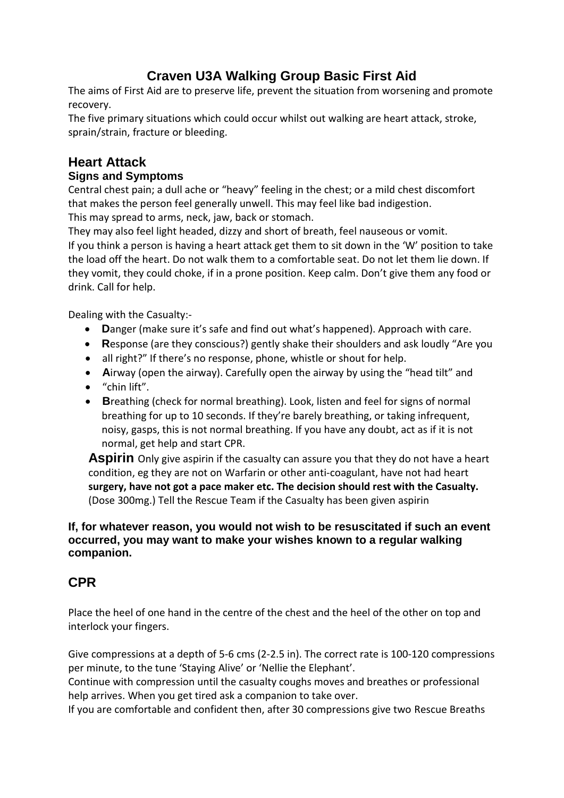# **Craven U3A Walking Group Basic First Aid**

The aims of First Aid are to preserve life, prevent the situation from worsening and promote recovery.

The five primary situations which could occur whilst out walking are heart attack, stroke, sprain/strain, fracture or bleeding.

# **Heart Attack**

## **Signs and Symptoms**

Central chest pain; a dull ache or "heavy" feeling in the chest; or a mild chest discomfort that makes the person feel generally unwell. This may feel like bad indigestion. This may spread to arms, neck, jaw, back or stomach.

They may also feel light headed, dizzy and short of breath, feel nauseous or vomit. If you think a person is having a heart attack get them to sit down in the 'W' position to take the load off the heart. Do not walk them to a comfortable seat. Do not let them lie down. If they vomit, they could choke, if in a prone position. Keep calm. Don't give them any food or drink. Call for help.

Dealing with the Casualty:‐

- **D**anger (make sure it's safe and find out what's happened). Approach with care.
- **R**esponse (are they conscious?) gently shake their shoulders and ask loudly "Are you
- all right?" If there's no response, phone, whistle or shout for help.
- **A**irway (open the airway). Carefully open the airway by using the "head tilt" and
- "chin lift".
- **B**reathing (check for normal breathing). Look, listen and feel for signs of normal breathing for up to 10 seconds. If they're barely breathing, or taking infrequent, noisy, gasps, this is not normal breathing. If you have any doubt, act as if it is not normal, get help and start CPR.

**Aspirin** Only give aspirin if the casualty can assure you that they do not have a heart condition, eg they are not on Warfarin or other anti‐coagulant, have not had heart **surgery, have not got a pace maker etc. The decision should rest with the Casualty.** (Dose 300mg.) Tell the Rescue Team if the Casualty has been given aspirin

#### **If, for whatever reason, you would not wish to be resuscitated if such an event occurred, you may want to make your wishes known to a regular walking companion.**

## **CPR**

Place the heel of one hand in the centre of the chest and the heel of the other on top and interlock your fingers.

Give compressions at a depth of 5-6 cms (2-2.5 in). The correct rate is 100-120 compressions per minute, to the tune 'Staying Alive' or 'Nellie the Elephant'.

Continue with compression until the casualty coughs moves and breathes or professional help arrives. When you get tired ask a companion to take over.

If you are comfortable and confident then, after 30 compressions give two Rescue Breaths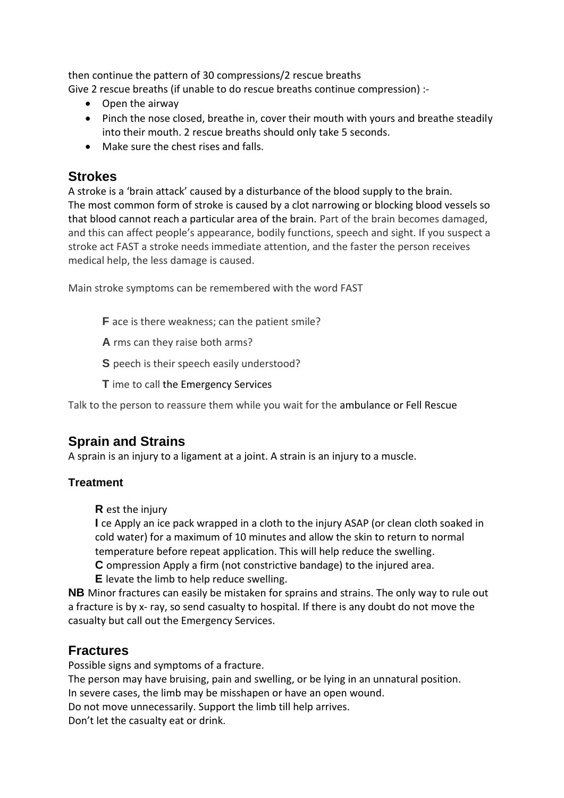then continue the pattern of 30 compressions/2 rescue breaths Give 2 rescue breaths (if unable to do rescue breaths continue compression) :‐

- Open the airway
- Pinch the nose closed, breathe in, cover their mouth with yours and breathe steadily into their mouth. 2 rescue breaths should only take 5 seconds.
- Make sure the chest rises and falls.

## **Strokes**

A stroke is a 'brain attack' caused by a disturbance of the blood supply to the brain. The most common form of stroke is caused by a clot narrowing or blocking blood vessels so that blood cannot reach a particular area of the brain. Part of the brain becomes damaged, and this can affect people's appearance, bodily functions, speech and sight. If you suspect a stroke act FAST a stroke needs immediate attention, and the faster the person receives medical help, the less damage is caused.

Main stroke symptoms can be remembered with the word FAST

- **F** ace is there weakness; can the patient smile?
- **A** rms can they raise both arms?
- **S** peech is their speech easily understood?
- **T** ime to call the Emergency Services

Talk to the person to reassure them while you wait for the ambulance or Fell Rescue

## **Sprain and Strains**

A sprain is an injury to a ligament at a joint. A strain is an injury to a muscle.

#### **Treatment**

**R** est the injury

**I** ce Apply an ice pack wrapped in a cloth to the injury ASAP (or clean cloth soaked in cold water) for a maximum of 10 minutes and allow the skin to return to normal temperature before repeat application. This will help reduce the swelling.

**C** ompression Apply a firm (not constrictive bandage) to the injured area.

**E** levate the limb to help reduce swelling.

**NB** Minor fractures can easily be mistaken for sprains and strains. The only way to rule out a fracture is by x- ray, so send casualty to hospital. If there is any doubt do not move the casualty but call out the Emergency Services.

## **Fractures**

Possible signs and symptoms of a fracture.

The person may have bruising, pain and swelling, or be lying in an unnatural position. In severe cases, the limb may be misshapen or have an open wound.

Do not move unnecessarily. Support the limb till help arrives.

Don't let the casualty eat or drink.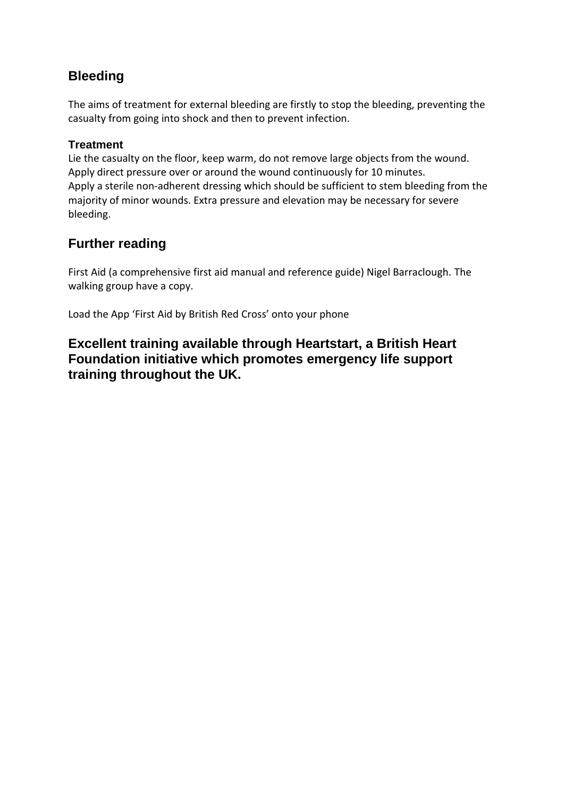## **Bleeding**

The aims of treatment for external bleeding are firstly to stop the bleeding, preventing the casualty from going into shock and then to prevent infection.

### **Treatment**

Lie the casualty on the floor, keep warm, do not remove large objects from the wound. Apply direct pressure over or around the wound continuously for 10 minutes. Apply a sterile non‐adherent dressing which should be sufficient to stem bleeding from the majority of minor wounds. Extra pressure and elevation may be necessary for severe bleeding.

# **Further reading**

First Aid (a comprehensive first aid manual and reference guide) Nigel Barraclough. The walking group have a copy.

Load the App 'First Aid by British Red Cross' onto your phone

**Excellent training available through Heartstart, a British Heart Foundation initiative which promotes emergency life support training throughout the UK.**